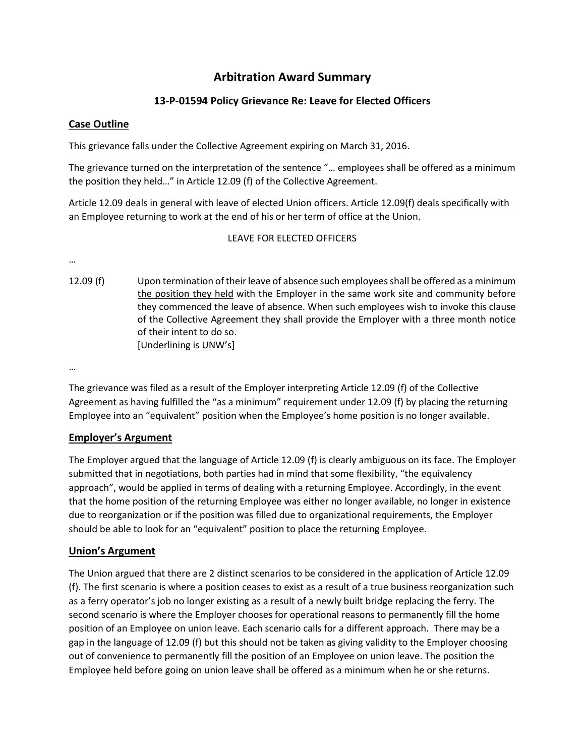# **Arbitration Award Summary**

## **13-P-01594 Policy Grievance Re: Leave for Elected Officers**

#### **Case Outline**

This grievance falls under the Collective Agreement expiring on March 31, 2016.

The grievance turned on the interpretation of the sentence "… employees shall be offered as a minimum the position they held…" in Article 12.09 (f) of the Collective Agreement.

Article 12.09 deals in general with leave of elected Union officers. Article 12.09(f) deals specifically with an Employee returning to work at the end of his or her term of office at the Union.

#### LEAVE FOR ELECTED OFFICERS

…

12.09 (f) Upon termination of their leave of absence such employees shall be offered as a minimum the position they held with the Employer in the same work site and community before they commenced the leave of absence. When such employees wish to invoke this clause of the Collective Agreement they shall provide the Employer with a three month notice of their intent to do so. [Underlining is UNW's]

…

The grievance was filed as a result of the Employer interpreting Article 12.09 (f) of the Collective Agreement as having fulfilled the "as a minimum" requirement under 12.09 (f) by placing the returning Employee into an "equivalent" position when the Employee's home position is no longer available.

### **Employer's Argument**

The Employer argued that the language of Article 12.09 (f) is clearly ambiguous on its face. The Employer submitted that in negotiations, both parties had in mind that some flexibility, "the equivalency approach", would be applied in terms of dealing with a returning Employee. Accordingly, in the event that the home position of the returning Employee was either no longer available, no longer in existence due to reorganization or if the position was filled due to organizational requirements, the Employer should be able to look for an "equivalent" position to place the returning Employee.

### **Union's Argument**

The Union argued that there are 2 distinct scenarios to be considered in the application of Article 12.09 (f). The first scenario is where a position ceases to exist as a result of a true business reorganization such as a ferry operator's job no longer existing as a result of a newly built bridge replacing the ferry. The second scenario is where the Employer chooses for operational reasons to permanently fill the home position of an Employee on union leave. Each scenario calls for a different approach. There may be a gap in the language of 12.09 (f) but this should not be taken as giving validity to the Employer choosing out of convenience to permanently fill the position of an Employee on union leave. The position the Employee held before going on union leave shall be offered as a minimum when he or she returns.